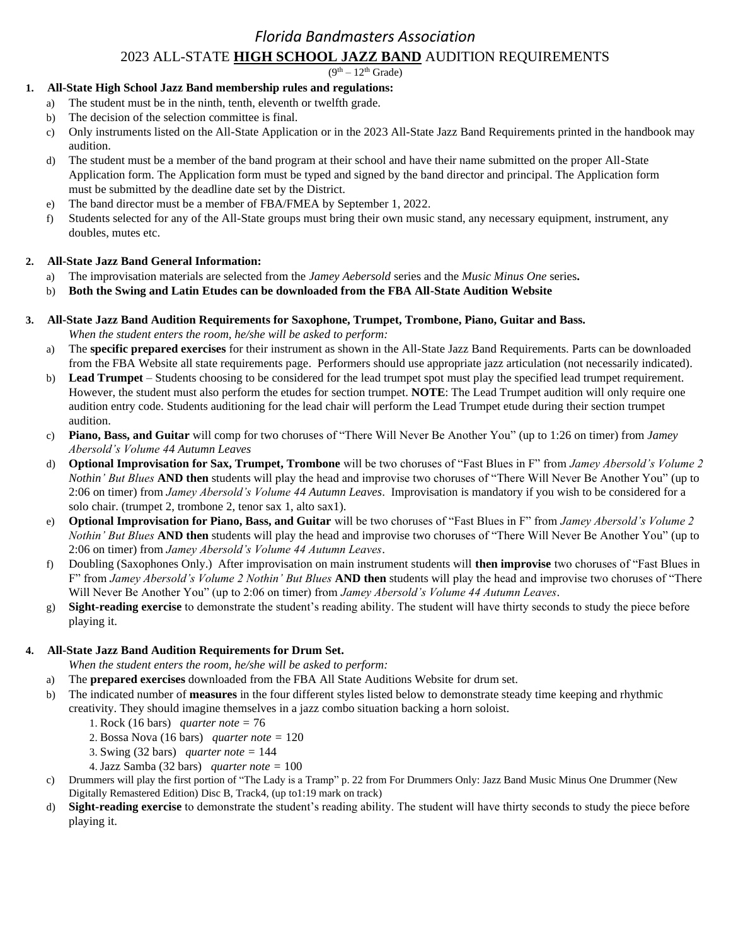## *Florida Bandmasters Association*

### 2023 ALL-STATE **HIGH SCHOOL JAZZ BAND** AUDITION REQUIREMENTS

 $(9<sup>th</sup> – 12<sup>th</sup>$  Grade)

## **1. All-State High School Jazz Band membership rules and regulations:**

- a) The student must be in the ninth, tenth, eleventh or twelfth grade.
- b) The decision of the selection committee is final.
- c) Only instruments listed on the All-State Application or in the 2023 All-State Jazz Band Requirements printed in the handbook may audition.
- d) The student must be a member of the band program at their school and have their name submitted on the proper All-State Application form. The Application form must be typed and signed by the band director and principal. The Application form must be submitted by the deadline date set by the District.
- e) The band director must be a member of FBA/FMEA by September 1, 2022.
- f) Students selected for any of the All-State groups must bring their own music stand, any necessary equipment, instrument, any doubles, mutes etc.

#### **2. All-State Jazz Band General Information:**

- a) The improvisation materials are selected from the *Jamey Aebersold* series and the *Music Minus One* series**.**
- b) **Both the Swing and Latin Etudes can be downloaded from the FBA All-State Audition Website**
- **3. All-State Jazz Band Audition Requirements for Saxophone, Trumpet, Trombone, Piano, Guitar and Bass.**   *When the student enters the room, he/she will be asked to perform:* 
	- a) The **specific prepared exercises** for their instrument as shown in the All-State Jazz Band Requirements. Parts can be downloaded from the FBA Website all state requirements page. Performers should use appropriate jazz articulation (not necessarily indicated).
	- b) **Lead Trumpet** Students choosing to be considered for the lead trumpet spot must play the specified lead trumpet requirement. However, the student must also perform the etudes for section trumpet. **NOTE**: The Lead Trumpet audition will only require one audition entry code. Students auditioning for the lead chair will perform the Lead Trumpet etude during their section trumpet audition.
	- c) **Piano, Bass, and Guitar** will comp for two choruses of "There Will Never Be Another You" (up to 1:26 on timer) from *Jamey Abersold's Volume 44 Autumn Leaves*
	- d) **Optional Improvisation for Sax, Trumpet, Trombone** will be two choruses of "Fast Blues in F" from *Jamey Abersold's Volume 2 Nothin' But Blues* **AND then** students will play the head and improvise two choruses of "There Will Never Be Another You" (up to 2:06 on timer) from *Jamey Abersold's Volume 44 Autumn Leaves*. Improvisation is mandatory if you wish to be considered for a solo chair. (trumpet 2, trombone 2, tenor sax 1, alto sax1).
	- e) **Optional Improvisation for Piano, Bass, and Guitar** will be two choruses of "Fast Blues in F" from *Jamey Abersold's Volume 2 Nothin' But Blues* **AND then** students will play the head and improvise two choruses of "There Will Never Be Another You" (up to 2:06 on timer) from *Jamey Abersold's Volume 44 Autumn Leaves*.
	- f) Doubling (Saxophones Only.) After improvisation on main instrument students will **then improvise** two choruses of "Fast Blues in F" from *Jamey Abersold's Volume 2 Nothin' But Blues* **AND then** students will play the head and improvise two choruses of "There Will Never Be Another You" (up to 2:06 on timer) from *Jamey Abersold's Volume 44 Autumn Leaves*.
	- g) **Sight-reading exercise** to demonstrate the student's reading ability. The student will have thirty seconds to study the piece before playing it.

#### **4. All-State Jazz Band Audition Requirements for Drum Set.**

- *When the student enters the room, he/she will be asked to perform:*
- a) The **prepared exercises** downloaded from the FBA All State Auditions Website for drum set.
- b) The indicated number of **measures** in the four different styles listed below to demonstrate steady time keeping and rhythmic creativity. They should imagine themselves in a jazz combo situation backing a horn soloist.
	- 1. Rock (16 bars) *quarter note =* 76
	- 2. Bossa Nova (16 bars) *quarter note =* 120
	- 3. Swing (32 bars) *quarter note =* 144
	- 4. Jazz Samba (32 bars) *quarter note =* 100
- c) Drummers will play the first portion of "The Lady is a Tramp" p. 22 from For Drummers Only: Jazz Band Music Minus One Drummer (New Digitally Remastered Edition) Disc B, Track4, (up to1:19 mark on track)
- d) **Sight-reading exercise** to demonstrate the student's reading ability. The student will have thirty seconds to study the piece before playing it.